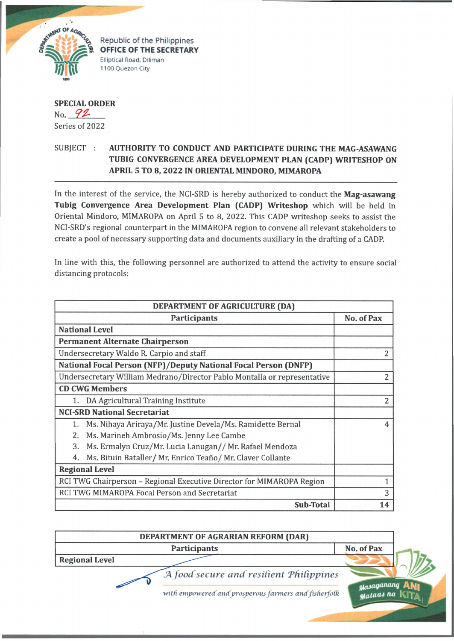

Republic of the Philippines **OFFICE OF THE SECRETARY Elliptical Road. Diliman 1100 Quezon City**

## **SPECIAL ORDER** No. *92-*

Series of 2022

## SUBJECT : **AUTHORITY TO CONDUCT AND PARTICIPATE DURING THE MAG-ASAWANG TUBIG CONVERGENCE AREA DEVELOPMENT PLAN (CADP) WRITESHOP ON APRIL 5 TO 8, 2022 IN ORIENTAL MINDORO, MIMAROPA**

In the interest of the service, the NCI-SRD is hereby authorized to conduct the **Mag-asawang Tubig Convergence Area Development Plan (CADP) Writeshop** which will be held in Oriental Mindoro, MIMAROPA on April 5 to 8, 2022. This CADP writeshop seeks to assist the NCI-SRD's regional counterpart in the MIMAROPA region to convene all relevant stakeholders to create a pool of necessary supporting data and documents auxiliary in the drafting of a CADP.

In line with this, the following personnel are authorized to attend the activity to ensure social distancing protocols:

| DEPARTMENT OF AGRICULTURE (DA)                                           |                |
|--------------------------------------------------------------------------|----------------|
| Participants                                                             | No. of Pax     |
| <b>National Level</b>                                                    |                |
| <b>Permanent Alternate Chairperson</b>                                   |                |
| Undersecretary Waldo R. Carpio and staff                                 | 2              |
| <b>National Focal Person (NFP)/Deputy National Focal Person (DNFP)</b>   |                |
| Undersecretary William Medrano/Director Pablo Montalla or representative | $\overline{2}$ |
| <b>CD CWG Members</b>                                                    |                |
| DA Agricultural Training Institute                                       | $\overline{2}$ |
| <b>NCI-SRD National Secretariat</b>                                      |                |
| Ms. Nihaya Ariraya/Mr. Justine Devela/Ms. Ramidette Bernal<br>1.         | $\overline{4}$ |
| Ms. Marineh Ambrosio/Ms. Jenny Lee Cambe<br>2.                           |                |
| 3.<br>Ms. Ermalyn Cruz/Mr. Lucia Lanugan// Mr. Rafael Mendoza            |                |
| Ms. Bituin Bataller/ Mr. Enrico Teaño/ Mr. Claver Collante<br>4.         |                |
| <b>Regional Level</b>                                                    |                |
| RCI TWG Chairperson - Regional Executive Director for MIMAROPA Region    |                |
| RCI TWG MIMAROPA Focal Person and Secretariat                            | 3              |
| Sub-Total                                                                | 14             |

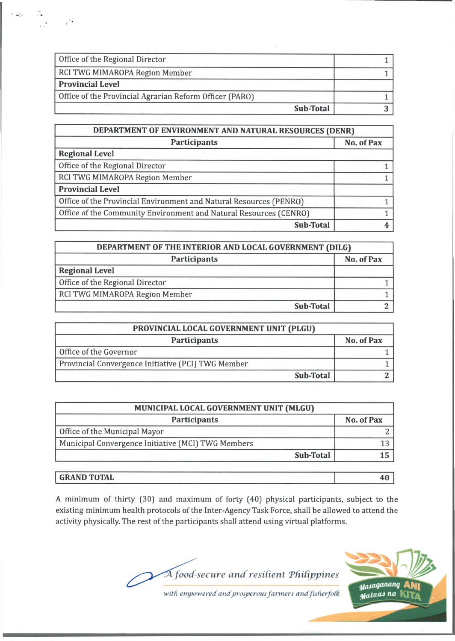| Office of the Regional Director                         |  |
|---------------------------------------------------------|--|
| RCI TWG MIMAROPA Region Member                          |  |
| <b>Provincial Level</b>                                 |  |
| Office of the Provincial Agrarian Reform Officer (PARO) |  |
| Sub-Total                                               |  |

| DEPARTMENT OF ENVIRONMENT AND NATURAL RESOURCES (DENR)             |            |
|--------------------------------------------------------------------|------------|
| Participants                                                       | No. of Pax |
| <b>Regional Level</b>                                              |            |
| Office of the Regional Director                                    |            |
| RCI TWG MIMAROPA Region Member                                     |            |
| <b>Provincial Level</b>                                            |            |
| Office of the Provincial Environment and Natural Resources (PENRO) |            |
| Office of the Community Environment and Natural Resources (CENRO)  |            |
| <b>Sub-Total</b>                                                   |            |

| DEPARTMENT OF THE INTERIOR AND LOCAL GOVERNMENT (DILG) |            |
|--------------------------------------------------------|------------|
| Participants                                           | No. of Pax |
| <b>Regional Level</b>                                  |            |
| Office of the Regional Director                        |            |
| RCI TWG MIMAROPA Region Member                         |            |
| Sub-Total                                              |            |

| PROVINCIAL LOCAL GOVERNMENT UNIT (PLGU)            |            |
|----------------------------------------------------|------------|
| Participants                                       | No. of Pax |
| Office of the Governor                             |            |
| Provincial Convergence Initiative (PCI) TWG Member |            |
| Sub-Total                                          |            |

| MUNICIPAL LOCAL GOVERNMENT UNIT (MLGU) |  |
|----------------------------------------|--|
| No. of Pax                             |  |
|                                        |  |
|                                        |  |
|                                        |  |
|                                        |  |

## **GRAND TOTAL 40**

A minimum of thirty (30] and maximum of forty (40] physical participants, subject to the existing minimum health protocols of the Inter-Agency Task Force, shall be allowed to attend the activity physically. The rest of the participants shall attend using virtual platforms.





with empowered and prosperous farmers and fisherfolk

 $\mathcal{L}$ 

 $r^{\prime\prime}$ 

 $\mathcal{L}$